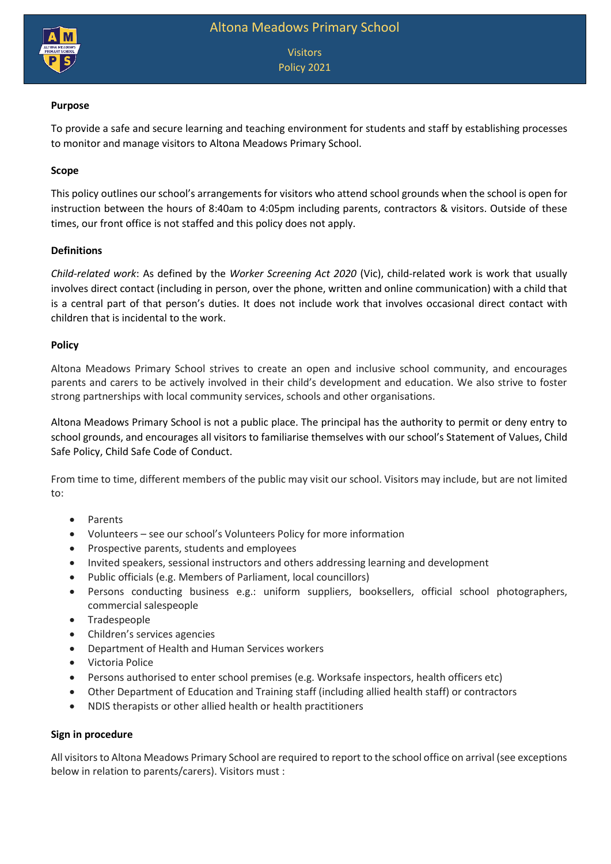

Visitors Policy 2021

# **Purpose**

To provide a safe and secure learning and teaching environment for students and staff by establishing processes to monitor and manage visitors to Altona Meadows Primary School.

# **Scope**

This policy outlines our school's arrangements for visitors who attend school grounds when the school is open for instruction between the hours of 8:40am to 4:05pm including parents, contractors & visitors. Outside of these times, our front office is not staffed and this policy does not apply.

### **Definitions**

*Child-related work*: As defined by the *Worker Screening Act 2020* (Vic), child-related work is work that usually involves direct contact (including in person, over the phone, written and online communication) with a child that is a central part of that person's duties. It does not include work that involves occasional direct contact with children that is incidental to the work.

### **Policy**

Altona Meadows Primary School strives to create an open and inclusive school community, and encourages parents and carers to be actively involved in their child's development and education. We also strive to foster strong partnerships with local community services, schools and other organisations.

Altona Meadows Primary School is not a public place. The principal has the authority to permit or deny entry to school grounds, and encourages all visitors to familiarise themselves with our school's Statement of Values, Child Safe Policy, Child Safe Code of Conduct.

From time to time, different members of the public may visit our school. Visitors may include, but are not limited to:

- Parents
- Volunteers see our school's Volunteers Policy for more information
- Prospective parents, students and employees
- Invited speakers, sessional instructors and others addressing learning and development
- Public officials (e.g. Members of Parliament, local councillors)
- Persons conducting business e.g.: uniform suppliers, booksellers, official school photographers, commercial salespeople
- Tradespeople
- Children's services agencies
- Department of Health and Human Services workers
- Victoria Police
- Persons authorised to enter school premises (e.g. Worksafe inspectors, health officers etc)
- Other Department of Education and Training staff (including allied health staff) or contractors
- NDIS therapists or other allied health or health practitioners

### **Sign in procedure**

All visitors to Altona Meadows Primary School are required to report to the school office on arrival (see exceptions below in relation to parents/carers). Visitors must :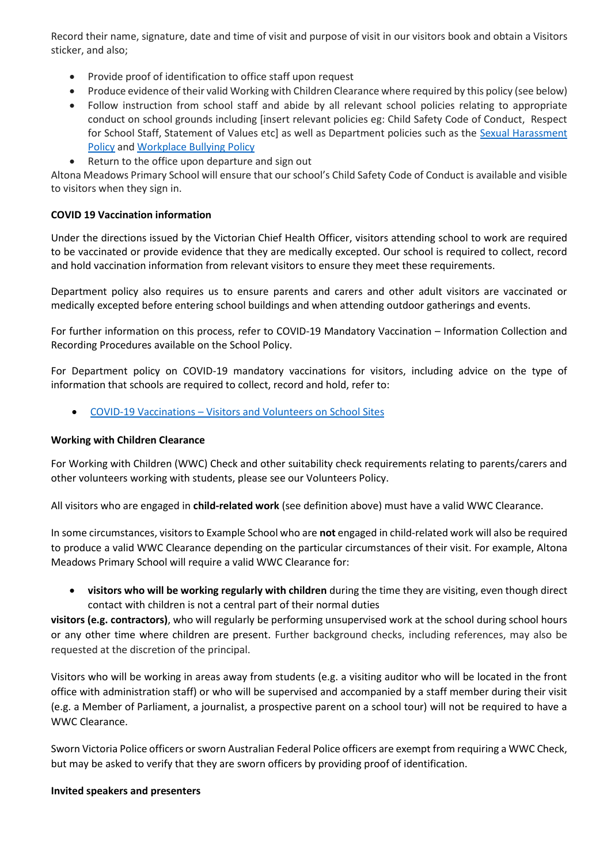Record their name, signature, date and time of visit and purpose of visit in our visitors book and obtain a Visitors sticker, and also;

- Provide proof of identification to office staff upon request
- Produce evidence of their valid Working with Children Clearance where required by this policy (see below)
- Follow instruction from school staff and abide by all relevant school policies relating to appropriate conduct on school grounds including [insert relevant policies eg: Child Safety Code of Conduct, Respect for School Staff, Statement of Values etc] as well as Department policies such as the Sexual Harassment [Policy](https://www2.education.vic.gov.au/pal/sexual-harassment/overview) an[d Workplace Bullying Policy](https://www2.education.vic.gov.au/pal/workplace-bullying/policy)
- Return to the office upon departure and sign out

Altona Meadows Primary School will ensure that our school's Child Safety Code of Conduct is available and visible to visitors when they sign in.

# **COVID 19 Vaccination information**

Under the directions issued by the Victorian Chief Health Officer, visitors attending school to work are required to be vaccinated or provide evidence that they are medically excepted. Our school is required to collect, record and hold vaccination information from relevant visitors to ensure they meet these requirements.

Department policy also requires us to ensure parents and carers and other adult visitors are vaccinated or medically excepted before entering school buildings and when attending outdoor gatherings and events.

For further information on this process, refer to COVID-19 Mandatory Vaccination – Information Collection and Recording Procedures available on the School Policy.

For Department policy on COVID-19 mandatory vaccinations for visitors, including advice on the type of information that schools are required to collect, record and hold, refer to:

COVID-19 Vaccinations – [Visitors and Volunteers on School Sites](https://www2.education.vic.gov.au/pal/covid-19-vaccinations-visitors-volunteers/policy)

### **Working with Children Clearance**

For Working with Children (WWC) Check and other suitability check requirements relating to parents/carers and other volunteers working with students, please see our Volunteers Policy.

All visitors who are engaged in **child-related work** (see definition above) must have a valid WWC Clearance.

In some circumstances, visitors to Example School who are **not** engaged in child-related work will also be required to produce a valid WWC Clearance depending on the particular circumstances of their visit. For example, Altona Meadows Primary School will require a valid WWC Clearance for:

 **visitors who will be working regularly with children** during the time they are visiting, even though direct contact with children is not a central part of their normal duties

**visitors (e.g. contractors)**, who will regularly be performing unsupervised work at the school during school hours or any other time where children are present. Further background checks, including references, may also be requested at the discretion of the principal.

Visitors who will be working in areas away from students (e.g. a visiting auditor who will be located in the front office with administration staff) or who will be supervised and accompanied by a staff member during their visit (e.g. a Member of Parliament, a journalist, a prospective parent on a school tour) will not be required to have a WWC Clearance.

Sworn Victoria Police officers or sworn Australian Federal Police officers are exempt from requiring a WWC Check, but may be asked to verify that they are sworn officers by providing proof of identification.

### **Invited speakers and presenters**